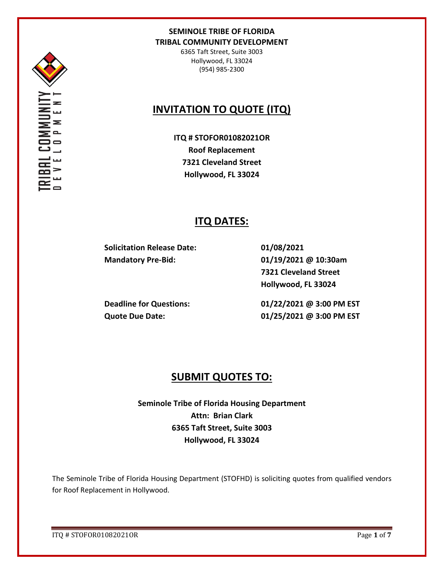

6365 Taft Street, Suite 3003 Hollywood, FL 33024 (954) 985-2300

# **INVITATION TO QUOTE (ITQ)**

**ITQ # STOFOR01082021OR Roof Replacement 7321 Cleveland Street Hollywood, FL 33024**

# **ITQ DATES:**

**Solicitation Release Date: Mandatory Pre-Bid:** 

**01/08/2021 01/19/2021 @ 10:30am 7321 Cleveland Street Hollywood, FL 33024**

**Deadline for Questions: Quote Due Date:** 

**01/22/2021 @ 3:00 PM EST 01/25/2021 @ 3:00 PM EST**

# **SUBMIT QUOTES TO:**

**Seminole Tribe of Florida Housing Department Attn: Brian Clark 6365 Taft Street, Suite 3003 Hollywood, FL 33024**

The Seminole Tribe of Florida Housing Department (STOFHD) is soliciting quotes from qualified vendors for Roof Replacement in Hollywood.

ITQ # STOFOR01082021OR Page **1** of **7**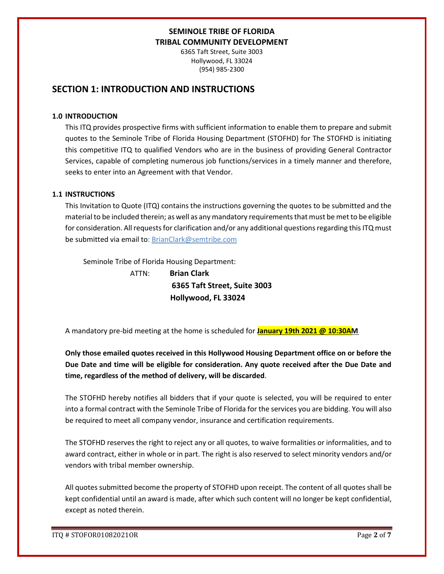6365 Taft Street, Suite 3003 Hollywood, FL 33024 (954) 985-2300

## **SECTION 1: INTRODUCTION AND INSTRUCTIONS**

#### **1.0 INTRODUCTION**

This ITQ provides prospective firms with sufficient information to enable them to prepare and submit quotes to the Seminole Tribe of Florida Housing Department (STOFHD) for The STOFHD is initiating this competitive ITQ to qualified Vendors who are in the business of providing General Contractor Services, capable of completing numerous job functions/services in a timely manner and therefore, seeks to enter into an Agreement with that Vendor.

### **1.1 INSTRUCTIONS**

This Invitation to Quote (ITQ) contains the instructions governing the quotes to be submitted and the material to be included therein; as well as any mandatory requirements that must be met to be eligible for consideration. All requests for clarification and/or any additional questions regarding this ITQ must be submitted via email to: BrianClark@semtribe.com

Seminole Tribe of Florida Housing Department:

 ATTN: **Brian Clark 6365 Taft Street, Suite 3003 Hollywood, FL 33024**

A mandatory pre-bid meeting at the home is scheduled for **January 19th 2021 @ 10:30AM** 

**Only those emailed quotes received in this Hollywood Housing Department office on or before the Due Date and time will be eligible for consideration. Any quote received after the Due Date and time, regardless of the method of delivery, will be discarded**.

The STOFHD hereby notifies all bidders that if your quote is selected, you will be required to enter into a formal contract with the Seminole Tribe of Florida for the services you are bidding. You will also be required to meet all company vendor, insurance and certification requirements.

The STOFHD reserves the right to reject any or all quotes, to waive formalities or informalities, and to award contract, either in whole or in part. The right is also reserved to select minority vendors and/or vendors with tribal member ownership.

All quotes submitted become the property of STOFHD upon receipt. The content of all quotes shall be kept confidential until an award is made, after which such content will no longer be kept confidential, except as noted therein.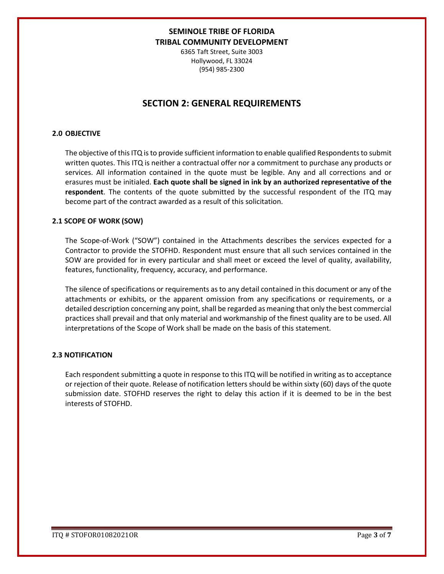6365 Taft Street, Suite 3003 Hollywood, FL 33024 (954) 985-2300

## **SECTION 2: GENERAL REQUIREMENTS**

#### **2.0 OBJECTIVE**

The objective of this ITQ is to provide sufficient information to enable qualified Respondents to submit written quotes. This ITQ is neither a contractual offer nor a commitment to purchase any products or services. All information contained in the quote must be legible. Any and all corrections and or erasures must be initialed. **Each quote shall be signed in ink by an authorized representative of the respondent**. The contents of the quote submitted by the successful respondent of the ITQ may become part of the contract awarded as a result of this solicitation.

#### **2.1 SCOPE OF WORK (SOW)**

The Scope-of-Work ("SOW") contained in the Attachments describes the services expected for a Contractor to provide the STOFHD. Respondent must ensure that all such services contained in the SOW are provided for in every particular and shall meet or exceed the level of quality, availability, features, functionality, frequency, accuracy, and performance.

The silence of specifications or requirements as to any detail contained in this document or any of the attachments or exhibits, or the apparent omission from any specifications or requirements, or a detailed description concerning any point, shall be regarded as meaning that only the best commercial practices shall prevail and that only material and workmanship of the finest quality are to be used. All interpretations of the Scope of Work shall be made on the basis of this statement.

#### **2.3 NOTIFICATION**

Each respondent submitting a quote in response to this ITQ will be notified in writing as to acceptance or rejection of their quote. Release of notification letters should be within sixty (60) days of the quote submission date. STOFHD reserves the right to delay this action if it is deemed to be in the best interests of STOFHD.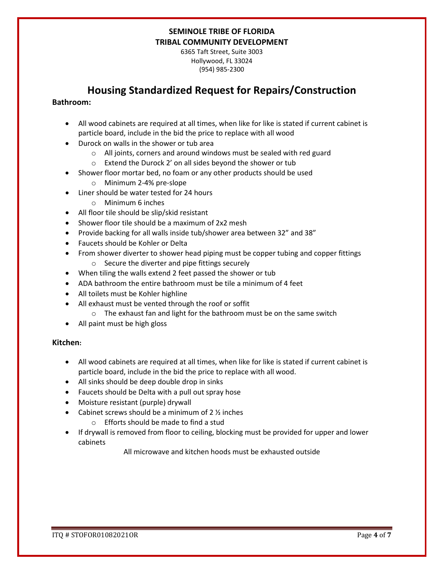6365 Taft Street, Suite 3003 Hollywood, FL 33024 (954) 985-2300

# **Housing Standardized Request for Repairs/Construction**

### **Bathroom:**

- All wood cabinets are required at all times, when like for like is stated if current cabinet is particle board, include in the bid the price to replace with all wood
- Durock on walls in the shower or tub area
	- o All joints, corners and around windows must be sealed with red guard
	- o Extend the Durock 2' on all sides beyond the shower or tub
- Shower floor mortar bed, no foam or any other products should be used
	- o Minimum 2-4% pre-slope
- Liner should be water tested for 24 hours
	- o Minimum 6 inches
- All floor tile should be slip/skid resistant
- Shower floor tile should be a maximum of 2x2 mesh
- Provide backing for all walls inside tub/shower area between 32" and 38"
- Faucets should be Kohler or Delta
- From shower diverter to shower head piping must be copper tubing and copper fittings o Secure the diverter and pipe fittings securely
- When tiling the walls extend 2 feet passed the shower or tub
- ADA bathroom the entire bathroom must be tile a minimum of 4 feet
- All toilets must be Kohler highline
- All exhaust must be vented through the roof or soffit
	- o The exhaust fan and light for the bathroom must be on the same switch
- All paint must be high gloss

### **Kitchen:**

- All wood cabinets are required at all times, when like for like is stated if current cabinet is particle board, include in the bid the price to replace with all wood.
- All sinks should be deep double drop in sinks
- Faucets should be Delta with a pull out spray hose
- Moisture resistant (purple) drywall
- Cabinet screws should be a minimum of  $2\frac{1}{2}$  inches
	- o Efforts should be made to find a stud
- If drywall is removed from floor to ceiling, blocking must be provided for upper and lower cabinets

All microwave and kitchen hoods must be exhausted outside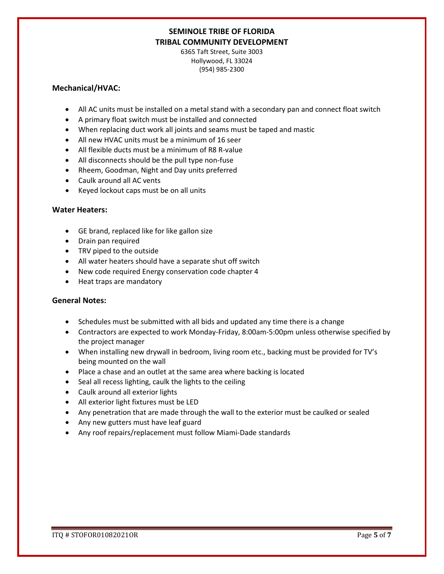6365 Taft Street, Suite 3003 Hollywood, FL 33024 (954) 985-2300

### **Mechanical/HVAC:**

- All AC units must be installed on a metal stand with a secondary pan and connect float switch
- A primary float switch must be installed and connected
- When replacing duct work all joints and seams must be taped and mastic
- All new HVAC units must be a minimum of 16 seer
- All flexible ducts must be a minimum of R8 R-value
- All disconnects should be the pull type non-fuse
- Rheem, Goodman, Night and Day units preferred
- Caulk around all AC vents
- Keyed lockout caps must be on all units

### **Water Heaters:**

- GE brand, replaced like for like gallon size
- Drain pan required
- TRV piped to the outside
- All water heaters should have a separate shut off switch
- New code required Energy conservation code chapter 4
- Heat traps are mandatory

### **General Notes:**

- Schedules must be submitted with all bids and updated any time there is a change
- Contractors are expected to work Monday-Friday, 8:00am-5:00pm unless otherwise specified by the project manager
- When installing new drywall in bedroom, living room etc., backing must be provided for TV's being mounted on the wall
- Place a chase and an outlet at the same area where backing is located
- Seal all recess lighting, caulk the lights to the ceiling
- Caulk around all exterior lights
- All exterior light fixtures must be LED
- Any penetration that are made through the wall to the exterior must be caulked or sealed
- Any new gutters must have leaf guard
- Any roof repairs/replacement must follow Miami-Dade standards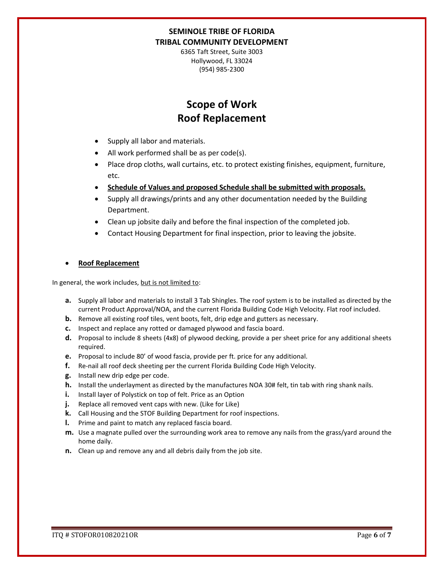6365 Taft Street, Suite 3003 Hollywood, FL 33024 (954) 985-2300

# **Scope of Work Roof Replacement**

- Supply all labor and materials.
- All work performed shall be as per code(s).
- Place drop cloths, wall curtains, etc. to protect existing finishes, equipment, furniture, etc.
- **Schedule of Values and proposed Schedule shall be submitted with proposals.**
- Supply all drawings/prints and any other documentation needed by the Building Department.
- Clean up jobsite daily and before the final inspection of the completed job.
- Contact Housing Department for final inspection, prior to leaving the jobsite.

#### • **Roof Replacement**

In general, the work includes, but is not limited to:

- **a.** Supply all labor and materials to install 3 Tab Shingles. The roof system is to be installed as directed by the current Product Approval/NOA, and the current Florida Building Code High Velocity. Flat roof included.
- **b.** Remove all existing roof tiles, vent boots, felt, drip edge and gutters as necessary.
- **c.** Inspect and replace any rotted or damaged plywood and fascia board.
- **d.** Proposal to include 8 sheets (4x8) of plywood decking, provide a per sheet price for any additional sheets required.
- **e.** Proposal to include 80' of wood fascia, provide per ft. price for any additional.
- **f.** Re-nail all roof deck sheeting per the current Florida Building Code High Velocity.
- **g.** Install new drip edge per code.
- **h.** Install the underlayment as directed by the manufactures NOA 30# felt, tin tab with ring shank nails.
- **i.** Install layer of Polystick on top of felt. Price as an Option
- **j.** Replace all removed vent caps with new. (Like for Like)
- **k.** Call Housing and the STOF Building Department for roof inspections.
- **l.** Prime and paint to match any replaced fascia board.
- **m.** Use a magnate pulled over the surrounding work area to remove any nails from the grass/yard around the home daily.
- **n.** Clean up and remove any and all debris daily from the job site.